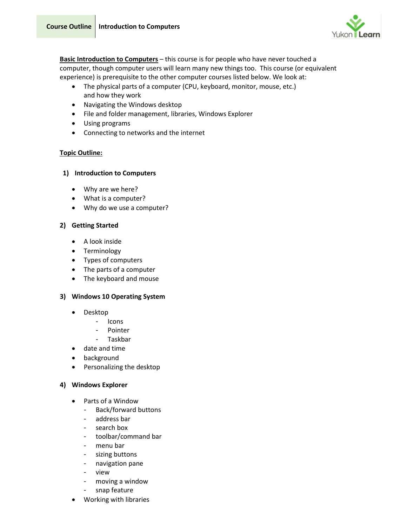

**Basic Introduction to Computers** – this course is for people who have never touched a computer, though computer users will learn many new things too. This course (or equivalent experience) is prerequisite to the other computer courses listed below. We look at:

- The physical parts of a computer (CPU, keyboard, monitor, mouse, etc.) and how they work
- Navigating the Windows desktop
- File and folder management, libraries, Windows Explorer
- Using programs
- Connecting to networks and the internet

# **Topic Outline:**

# **1) Introduction to Computers**

- Why are we here?
- What is a computer?
- Why do we use a computer?

# **2) Getting Started**

- A look inside
- Terminology
- Types of computers
- The parts of a computer
- The keyboard and mouse

# **3) Windows 10 Operating System**

- Desktop
	- Icons
	- **Pointer**
	- Taskbar
- date and time
- background
- Personalizing the desktop

# **4) Windows Explorer**

- Parts of a Window
	- Back/forward buttons
	- address bar
	- search box
	- toolbar/command bar
	- menu bar
	- sizing buttons
	- navigation pane
	- view
	- moving a window
	- snap feature
- Working with libraries